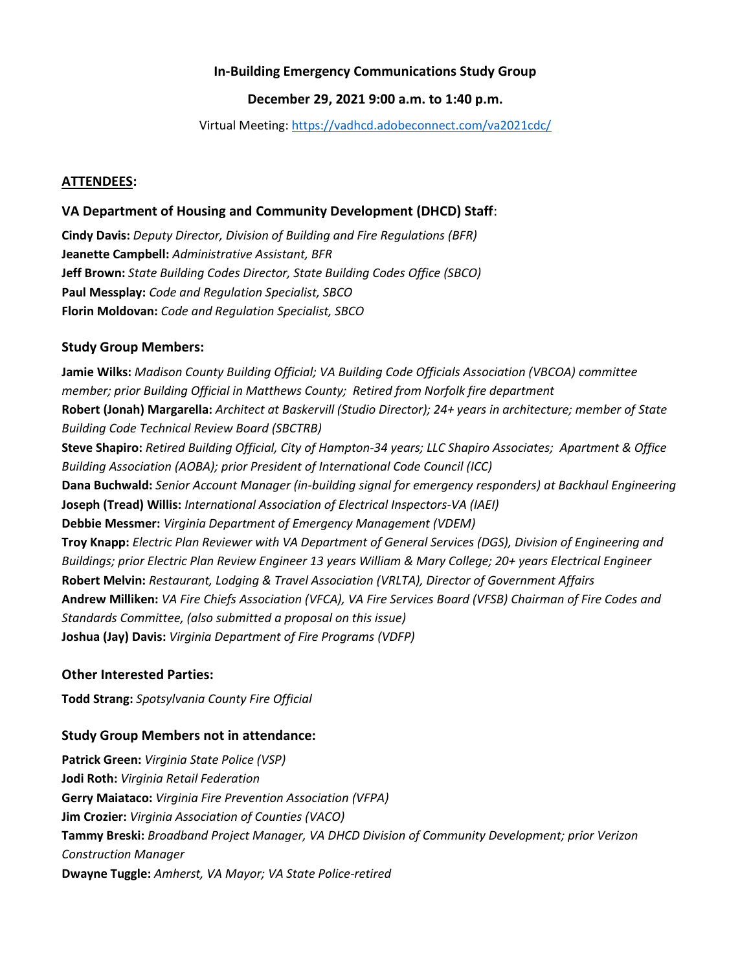# **In-Building Emergency Communications Study Group**

# **December 29, 2021 9:00 a.m. to 1:40 p.m.**

Virtual Meeting:<https://vadhcd.adobeconnect.com/va2021cdc/>

### **ATTENDEES:**

# **VA Department of Housing and Community Development (DHCD) Staff**:

**Cindy Davis:** *Deputy Director, Division of Building and Fire Regulations (BFR)* **Jeanette Campbell:** *Administrative Assistant, BFR* **Jeff Brown:** *State Building Codes Director, State Building Codes Office (SBCO)* **Paul Messplay:** *Code and Regulation Specialist, SBCO* **Florin Moldovan:** *Code and Regulation Specialist, SBCO*

### **Study Group Members:**

**Jamie Wilks:** *Madison County Building Official; VA Building Code Officials Association (VBCOA) committee member; prior Building Official in Matthews County; Retired from Norfolk fire department* **Robert (Jonah) Margarella:** *Architect at Baskervill (Studio Director); 24+ years in architecture; member of State Building Code Technical Review Board (SBCTRB)* **Steve Shapiro:** *Retired Building Official, City of Hampton-34 years; LLC Shapiro Associates; Apartment & Office Building Association (AOBA); prior President of International Code Council (ICC)* **Dana Buchwald:** *Senior Account Manager (in-building signal for emergency responders) at Backhaul Engineering*  **Joseph (Tread) Willis:** *International Association of Electrical Inspectors-VA (IAEI)* **Debbie Messmer:** *Virginia Department of Emergency Management (VDEM)* **Troy Knapp:** *Electric Plan Reviewer with VA Department of General Services (DGS), Division of Engineering and Buildings; prior Electric Plan Review Engineer 13 years William & Mary College; 20+ years Electrical Engineer* **Robert Melvin:** *Restaurant, Lodging & Travel Association (VRLTA), Director of Government Affairs* **Andrew Milliken:** *VA Fire Chiefs Association (VFCA), VA Fire Services Board (VFSB) Chairman of Fire Codes and Standards Committee, (also submitted a proposal on this issue)* **Joshua (Jay) Davis:** *Virginia Department of Fire Programs (VDFP)*

### **Other Interested Parties:**

**Todd Strang:** *Spotsylvania County Fire Official*

# **Study Group Members not in attendance:**

**Patrick Green:** *Virginia State Police (VSP)* **Jodi Roth:** *Virginia Retail Federation* **Gerry Maiataco:** *Virginia Fire Prevention Association (VFPA)* **Jim Crozier:** *Virginia Association of Counties (VACO)* **Tammy Breski:** *Broadband Project Manager, VA DHCD Division of Community Development; prior Verizon Construction Manager* **Dwayne Tuggle:** *Amherst, VA Mayor; VA State Police-retired*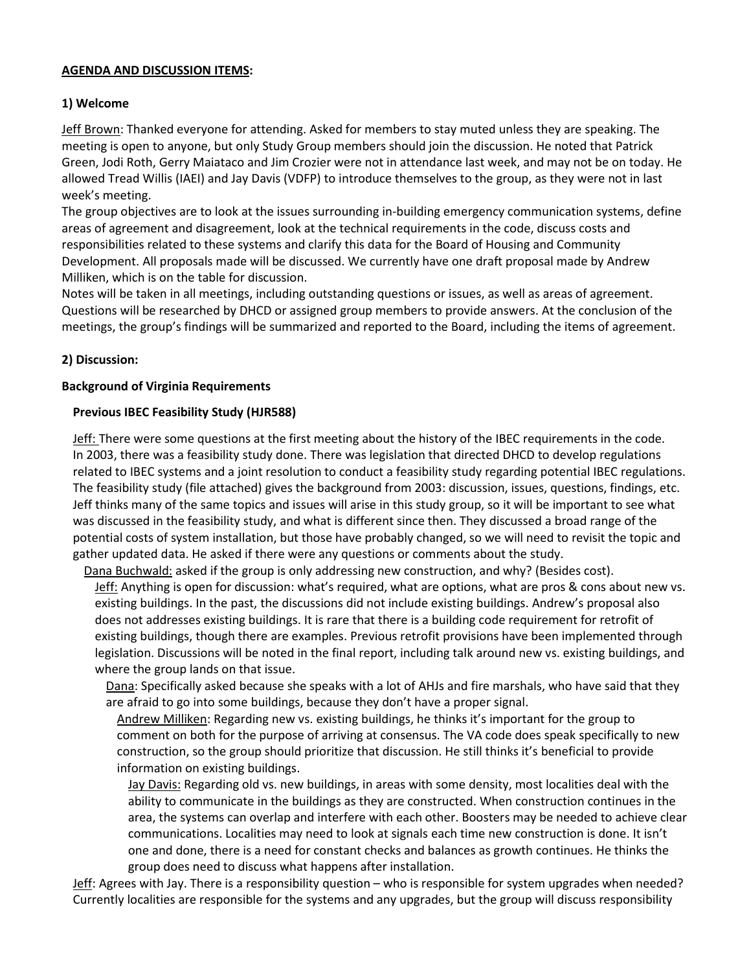### **AGENDA AND DISCUSSION ITEMS:**

### **1) Welcome**

Jeff Brown: Thanked everyone for attending. Asked for members to stay muted unless they are speaking. The meeting is open to anyone, but only Study Group members should join the discussion. He noted that Patrick Green, Jodi Roth, Gerry Maiataco and Jim Crozier were not in attendance last week, and may not be on today. He allowed Tread Willis (IAEI) and Jay Davis (VDFP) to introduce themselves to the group, as they were not in last week's meeting.

The group objectives are to look at the issues surrounding in-building emergency communication systems, define areas of agreement and disagreement, look at the technical requirements in the code, discuss costs and responsibilities related to these systems and clarify this data for the Board of Housing and Community Development. All proposals made will be discussed. We currently have one draft proposal made by Andrew Milliken, which is on the table for discussion.

Notes will be taken in all meetings, including outstanding questions or issues, as well as areas of agreement. Questions will be researched by DHCD or assigned group members to provide answers. At the conclusion of the meetings, the group's findings will be summarized and reported to the Board, including the items of agreement.

### **2) Discussion:**

### **Background of Virginia Requirements**

### **Previous IBEC Feasibility Study (HJR588)**

Jeff: There were some questions at the first meeting about the history of the IBEC requirements in the code. In 2003, there was a feasibility study done. There was legislation that directed DHCD to develop regulations related to IBEC systems and a joint resolution to conduct a feasibility study regarding potential IBEC regulations. The feasibility study (file attached) gives the background from 2003: discussion, issues, questions, findings, etc. Jeff thinks many of the same topics and issues will arise in this study group, so it will be important to see what was discussed in the feasibility study, and what is different since then. They discussed a broad range of the potential costs of system installation, but those have probably changed, so we will need to revisit the topic and gather updated data. He asked if there were any questions or comments about the study.

Dana Buchwald: asked if the group is only addressing new construction, and why? (Besides cost). Jeff: Anything is open for discussion: what's required, what are options, what are pros & cons about new vs. existing buildings. In the past, the discussions did not include existing buildings. Andrew's proposal also does not addresses existing buildings. It is rare that there is a building code requirement for retrofit of existing buildings, though there are examples. Previous retrofit provisions have been implemented through legislation. Discussions will be noted in the final report, including talk around new vs. existing buildings, and

where the group lands on that issue.

Dana: Specifically asked because she speaks with a lot of AHJs and fire marshals, who have said that they are afraid to go into some buildings, because they don't have a proper signal.

Andrew Milliken: Regarding new vs. existing buildings, he thinks it's important for the group to comment on both for the purpose of arriving at consensus. The VA code does speak specifically to new construction, so the group should prioritize that discussion. He still thinks it's beneficial to provide information on existing buildings.

Jay Davis: Regarding old vs. new buildings, in areas with some density, most localities deal with the ability to communicate in the buildings as they are constructed. When construction continues in the area, the systems can overlap and interfere with each other. Boosters may be needed to achieve clear communications. Localities may need to look at signals each time new construction is done. It isn't one and done, there is a need for constant checks and balances as growth continues. He thinks the group does need to discuss what happens after installation.

Jeff: Agrees with Jay. There is a responsibility question – who is responsible for system upgrades when needed? Currently localities are responsible for the systems and any upgrades, but the group will discuss responsibility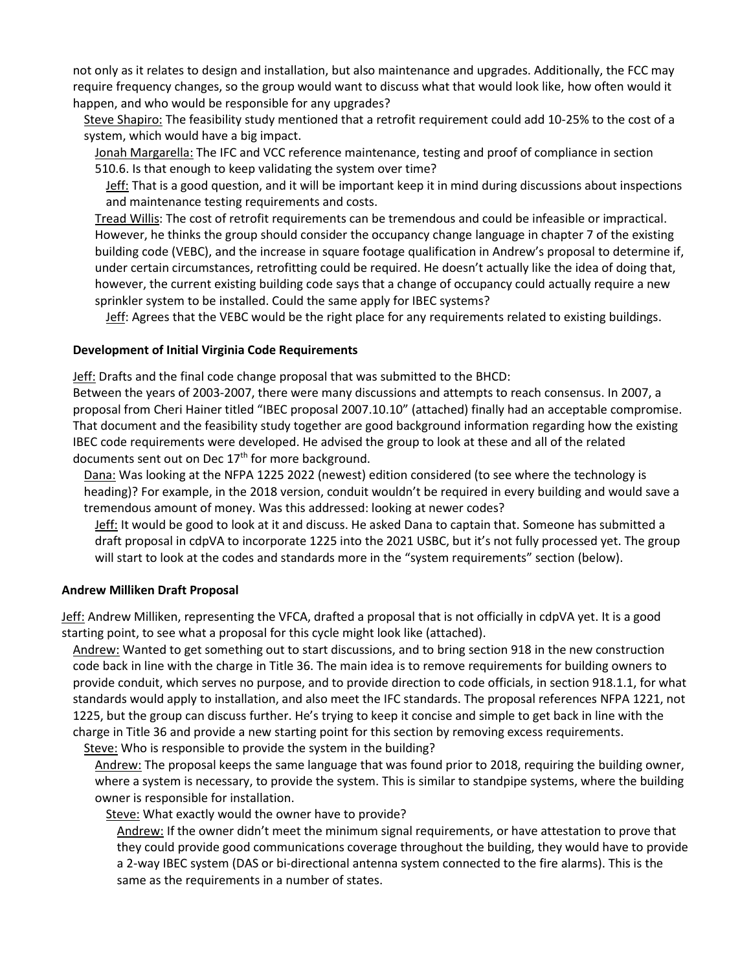not only as it relates to design and installation, but also maintenance and upgrades. Additionally, the FCC may require frequency changes, so the group would want to discuss what that would look like, how often would it happen, and who would be responsible for any upgrades?

Steve Shapiro: The feasibility study mentioned that a retrofit requirement could add 10-25% to the cost of a system, which would have a big impact.

Jonah Margarella: The IFC and VCC reference maintenance, testing and proof of compliance in section 510.6. Is that enough to keep validating the system over time?

Jeff: That is a good question, and it will be important keep it in mind during discussions about inspections and maintenance testing requirements and costs.

Tread Willis: The cost of retrofit requirements can be tremendous and could be infeasible or impractical. However, he thinks the group should consider the occupancy change language in chapter 7 of the existing building code (VEBC), and the increase in square footage qualification in Andrew's proposal to determine if, under certain circumstances, retrofitting could be required. He doesn't actually like the idea of doing that, however, the current existing building code says that a change of occupancy could actually require a new sprinkler system to be installed. Could the same apply for IBEC systems?

Jeff: Agrees that the VEBC would be the right place for any requirements related to existing buildings.

### **Development of Initial Virginia Code Requirements**

Jeff: Drafts and the final code change proposal that was submitted to the BHCD:

Between the years of 2003-2007, there were many discussions and attempts to reach consensus. In 2007, a proposal from Cheri Hainer titled "IBEC proposal 2007.10.10" (attached) finally had an acceptable compromise. That document and the feasibility study together are good background information regarding how the existing IBEC code requirements were developed. He advised the group to look at these and all of the related documents sent out on Dec 17<sup>th</sup> for more background.

Dana: Was looking at the NFPA 1225 2022 (newest) edition considered (to see where the technology is heading)? For example, in the 2018 version, conduit wouldn't be required in every building and would save a tremendous amount of money. Was this addressed: looking at newer codes?

Jeff: It would be good to look at it and discuss. He asked Dana to captain that. Someone has submitted a draft proposal in cdpVA to incorporate 1225 into the 2021 USBC, but it's not fully processed yet. The group will start to look at the codes and standards more in the "system requirements" section (below).

### **Andrew Milliken Draft Proposal**

Jeff: Andrew Milliken, representing the VFCA, drafted a proposal that is not officially in cdpVA yet. It is a good starting point, to see what a proposal for this cycle might look like (attached).

Andrew: Wanted to get something out to start discussions, and to bring section 918 in the new construction code back in line with the charge in Title 36. The main idea is to remove requirements for building owners to provide conduit, which serves no purpose, and to provide direction to code officials, in section 918.1.1, for what standards would apply to installation, and also meet the IFC standards. The proposal references NFPA 1221, not 1225, but the group can discuss further. He's trying to keep it concise and simple to get back in line with the charge in Title 36 and provide a new starting point for this section by removing excess requirements.

Steve: Who is responsible to provide the system in the building?

Andrew: The proposal keeps the same language that was found prior to 2018, requiring the building owner, where a system is necessary, to provide the system. This is similar to standpipe systems, where the building owner is responsible for installation.

Steve: What exactly would the owner have to provide?

Andrew: If the owner didn't meet the minimum signal requirements, or have attestation to prove that they could provide good communications coverage throughout the building, they would have to provide a 2-way IBEC system (DAS or bi-directional antenna system connected to the fire alarms). This is the same as the requirements in a number of states.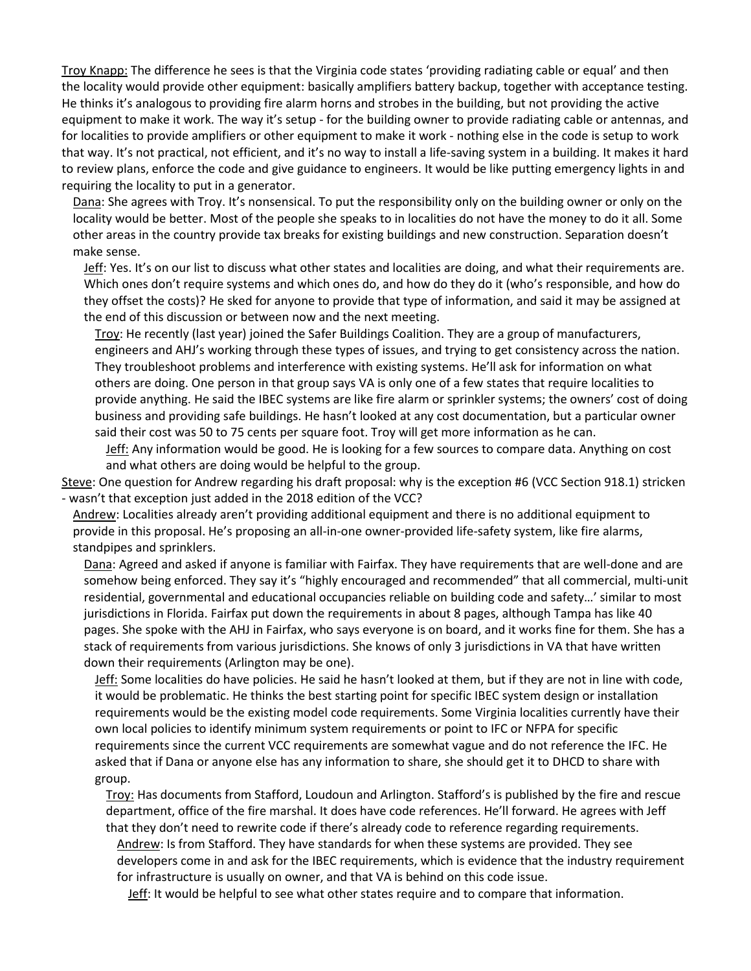Troy Knapp: The difference he sees is that the Virginia code states 'providing radiating cable or equal' and then the locality would provide other equipment: basically amplifiers battery backup, together with acceptance testing. He thinks it's analogous to providing fire alarm horns and strobes in the building, but not providing the active equipment to make it work. The way it's setup - for the building owner to provide radiating cable or antennas, and for localities to provide amplifiers or other equipment to make it work - nothing else in the code is setup to work that way. It's not practical, not efficient, and it's no way to install a life-saving system in a building. It makes it hard to review plans, enforce the code and give guidance to engineers. It would be like putting emergency lights in and requiring the locality to put in a generator.

Dana: She agrees with Troy. It's nonsensical. To put the responsibility only on the building owner or only on the locality would be better. Most of the people she speaks to in localities do not have the money to do it all. Some other areas in the country provide tax breaks for existing buildings and new construction. Separation doesn't make sense.

Jeff: Yes. It's on our list to discuss what other states and localities are doing, and what their requirements are. Which ones don't require systems and which ones do, and how do they do it (who's responsible, and how do they offset the costs)? He sked for anyone to provide that type of information, and said it may be assigned at the end of this discussion or between now and the next meeting.

Troy: He recently (last year) joined the Safer Buildings Coalition. They are a group of manufacturers, engineers and AHJ's working through these types of issues, and trying to get consistency across the nation. They troubleshoot problems and interference with existing systems. He'll ask for information on what others are doing. One person in that group says VA is only one of a few states that require localities to provide anything. He said the IBEC systems are like fire alarm or sprinkler systems; the owners' cost of doing business and providing safe buildings. He hasn't looked at any cost documentation, but a particular owner said their cost was 50 to 75 cents per square foot. Troy will get more information as he can.

Jeff: Any information would be good. He is looking for a few sources to compare data. Anything on cost and what others are doing would be helpful to the group.

Steve: One question for Andrew regarding his draft proposal: why is the exception #6 (VCC Section 918.1) stricken - wasn't that exception just added in the 2018 edition of the VCC?

Andrew: Localities already aren't providing additional equipment and there is no additional equipment to provide in this proposal. He's proposing an all-in-one owner-provided life-safety system, like fire alarms, standpipes and sprinklers.

Dana: Agreed and asked if anyone is familiar with Fairfax. They have requirements that are well-done and are somehow being enforced. They say it's "highly encouraged and recommended" that all commercial, multi-unit residential, governmental and educational occupancies reliable on building code and safety…' similar to most jurisdictions in Florida. Fairfax put down the requirements in about 8 pages, although Tampa has like 40 pages. She spoke with the AHJ in Fairfax, who says everyone is on board, and it works fine for them. She has a stack of requirements from various jurisdictions. She knows of only 3 jurisdictions in VA that have written down their requirements (Arlington may be one).

Jeff: Some localities do have policies. He said he hasn't looked at them, but if they are not in line with code, it would be problematic. He thinks the best starting point for specific IBEC system design or installation requirements would be the existing model code requirements. Some Virginia localities currently have their own local policies to identify minimum system requirements or point to IFC or NFPA for specific requirements since the current VCC requirements are somewhat vague and do not reference the IFC. He asked that if Dana or anyone else has any information to share, she should get it to DHCD to share with group.

Troy: Has documents from Stafford, Loudoun and Arlington. Stafford's is published by the fire and rescue department, office of the fire marshal. It does have code references. He'll forward. He agrees with Jeff that they don't need to rewrite code if there's already code to reference regarding requirements.

Andrew: Is from Stafford. They have standards for when these systems are provided. They see developers come in and ask for the IBEC requirements, which is evidence that the industry requirement for infrastructure is usually on owner, and that VA is behind on this code issue.

Jeff: It would be helpful to see what other states require and to compare that information.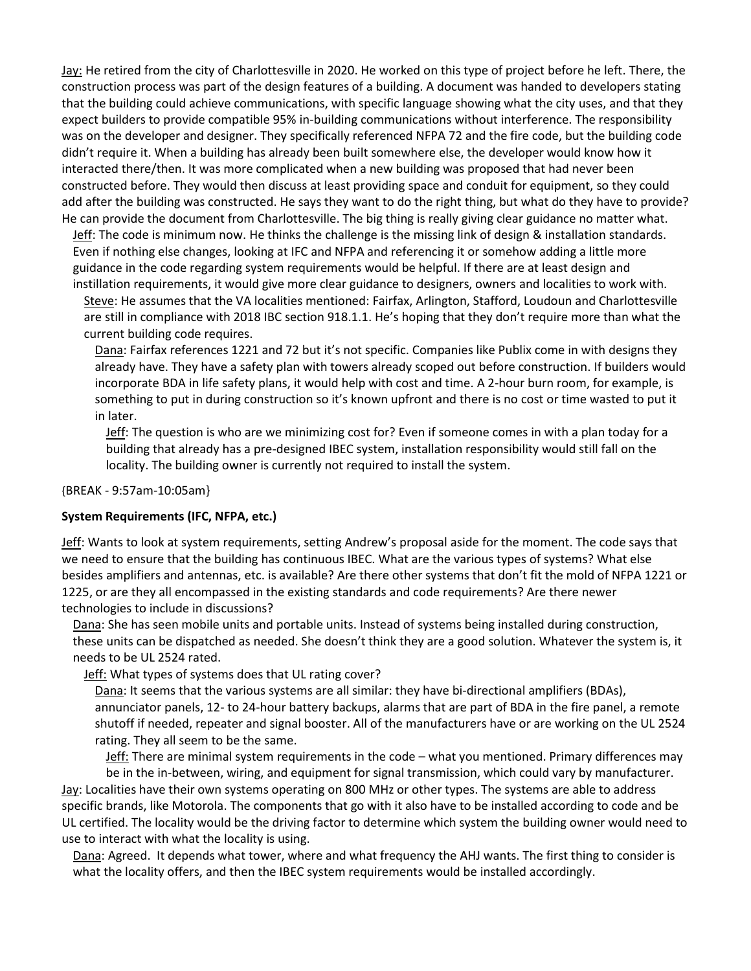Jay: He retired from the city of Charlottesville in 2020. He worked on this type of project before he left. There, the construction process was part of the design features of a building. A document was handed to developers stating that the building could achieve communications, with specific language showing what the city uses, and that they expect builders to provide compatible 95% in-building communications without interference. The responsibility was on the developer and designer. They specifically referenced NFPA 72 and the fire code, but the building code didn't require it. When a building has already been built somewhere else, the developer would know how it interacted there/then. It was more complicated when a new building was proposed that had never been constructed before. They would then discuss at least providing space and conduit for equipment, so they could add after the building was constructed. He says they want to do the right thing, but what do they have to provide? He can provide the document from Charlottesville. The big thing is really giving clear guidance no matter what.

Jeff: The code is minimum now. He thinks the challenge is the missing link of design & installation standards. Even if nothing else changes, looking at IFC and NFPA and referencing it or somehow adding a little more guidance in the code regarding system requirements would be helpful. If there are at least design and instillation requirements, it would give more clear guidance to designers, owners and localities to work with.

Steve: He assumes that the VA localities mentioned: Fairfax, Arlington, Stafford, Loudoun and Charlottesville are still in compliance with 2018 IBC section 918.1.1. He's hoping that they don't require more than what the current building code requires.

Dana: Fairfax references 1221 and 72 but it's not specific. Companies like Publix come in with designs they already have. They have a safety plan with towers already scoped out before construction. If builders would incorporate BDA in life safety plans, it would help with cost and time. A 2-hour burn room, for example, is something to put in during construction so it's known upfront and there is no cost or time wasted to put it in later.

Jeff: The question is who are we minimizing cost for? Even if someone comes in with a plan today for a building that already has a pre-designed IBEC system, installation responsibility would still fall on the locality. The building owner is currently not required to install the system.

{BREAK - 9:57am-10:05am}

#### **System Requirements (IFC, NFPA, etc.)**

Jeff: Wants to look at system requirements, setting Andrew's proposal aside for the moment. The code says that we need to ensure that the building has continuous IBEC. What are the various types of systems? What else besides amplifiers and antennas, etc. is available? Are there other systems that don't fit the mold of NFPA 1221 or 1225, or are they all encompassed in the existing standards and code requirements? Are there newer technologies to include in discussions?

Dana: She has seen mobile units and portable units. Instead of systems being installed during construction, these units can be dispatched as needed. She doesn't think they are a good solution. Whatever the system is, it needs to be UL 2524 rated.

Jeff: What types of systems does that UL rating cover?

Dana: It seems that the various systems are all similar: they have bi-directional amplifiers (BDAs), annunciator panels, 12- to 24-hour battery backups, alarms that are part of BDA in the fire panel, a remote shutoff if needed, repeater and signal booster. All of the manufacturers have or are working on the UL 2524 rating. They all seem to be the same.

Jeff: There are minimal system requirements in the code – what you mentioned. Primary differences may

be in the in-between, wiring, and equipment for signal transmission, which could vary by manufacturer. Jay: Localities have their own systems operating on 800 MHz or other types. The systems are able to address specific brands, like Motorola. The components that go with it also have to be installed according to code and be UL certified. The locality would be the driving factor to determine which system the building owner would need to use to interact with what the locality is using.

Dana: Agreed. It depends what tower, where and what frequency the AHJ wants. The first thing to consider is what the locality offers, and then the IBEC system requirements would be installed accordingly.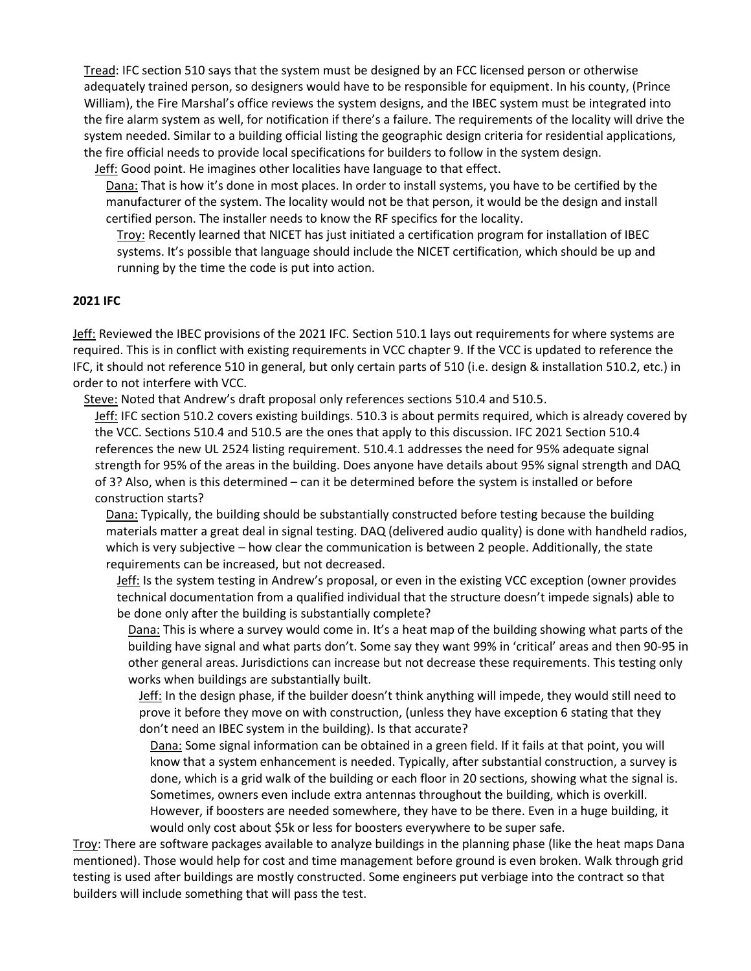Tread: IFC section 510 says that the system must be designed by an FCC licensed person or otherwise adequately trained person, so designers would have to be responsible for equipment. In his county, (Prince William), the Fire Marshal's office reviews the system designs, and the IBEC system must be integrated into the fire alarm system as well, for notification if there's a failure. The requirements of the locality will drive the system needed. Similar to a building official listing the geographic design criteria for residential applications, the fire official needs to provide local specifications for builders to follow in the system design.

Jeff: Good point. He imagines other localities have language to that effect.

Dana: That is how it's done in most places. In order to install systems, you have to be certified by the manufacturer of the system. The locality would not be that person, it would be the design and install certified person. The installer needs to know the RF specifics for the locality.

Troy: Recently learned that NICET has just initiated a certification program for installation of IBEC systems. It's possible that language should include the NICET certification, which should be up and running by the time the code is put into action.

#### **2021 IFC**

Jeff: Reviewed the IBEC provisions of the 2021 IFC. Section 510.1 lays out requirements for where systems are required. This is in conflict with existing requirements in VCC chapter 9. If the VCC is updated to reference the IFC, it should not reference 510 in general, but only certain parts of 510 (i.e. design & installation 510.2, etc.) in order to not interfere with VCC.

Steve: Noted that Andrew's draft proposal only references sections 510.4 and 510.5.

Jeff: IFC section 510.2 covers existing buildings. 510.3 is about permits required, which is already covered by the VCC. Sections 510.4 and 510.5 are the ones that apply to this discussion. IFC 2021 Section 510.4 references the new UL 2524 listing requirement. 510.4.1 addresses the need for 95% adequate signal strength for 95% of the areas in the building. Does anyone have details about 95% signal strength and DAQ of 3? Also, when is this determined – can it be determined before the system is installed or before construction starts?

Dana: Typically, the building should be substantially constructed before testing because the building materials matter a great deal in signal testing. DAQ (delivered audio quality) is done with handheld radios, which is very subjective – how clear the communication is between 2 people. Additionally, the state requirements can be increased, but not decreased.

Jeff: Is the system testing in Andrew's proposal, or even in the existing VCC exception (owner provides technical documentation from a qualified individual that the structure doesn't impede signals) able to be done only after the building is substantially complete?

Dana: This is where a survey would come in. It's a heat map of the building showing what parts of the building have signal and what parts don't. Some say they want 99% in 'critical' areas and then 90-95 in other general areas. Jurisdictions can increase but not decrease these requirements. This testing only works when buildings are substantially built.

Jeff: In the design phase, if the builder doesn't think anything will impede, they would still need to prove it before they move on with construction, (unless they have exception 6 stating that they don't need an IBEC system in the building). Is that accurate?

Dana: Some signal information can be obtained in a green field. If it fails at that point, you will know that a system enhancement is needed. Typically, after substantial construction, a survey is done, which is a grid walk of the building or each floor in 20 sections, showing what the signal is. Sometimes, owners even include extra antennas throughout the building, which is overkill. However, if boosters are needed somewhere, they have to be there. Even in a huge building, it would only cost about \$5k or less for boosters everywhere to be super safe.

Troy: There are software packages available to analyze buildings in the planning phase (like the heat maps Dana mentioned). Those would help for cost and time management before ground is even broken. Walk through grid testing is used after buildings are mostly constructed. Some engineers put verbiage into the contract so that builders will include something that will pass the test.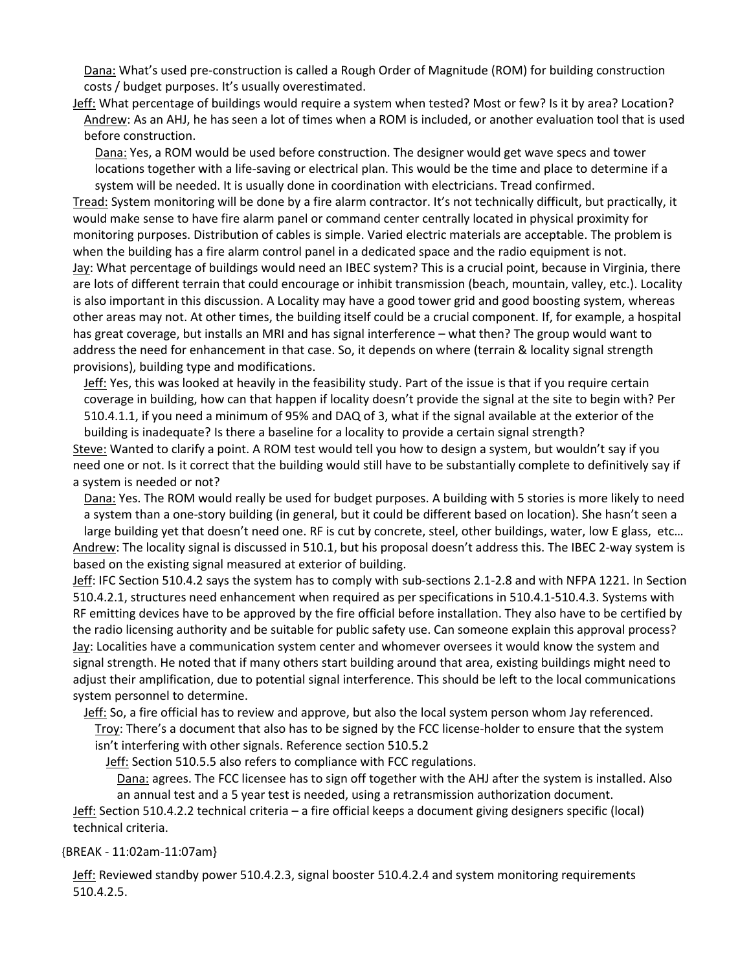Dana: What's used pre-construction is called a Rough Order of Magnitude (ROM) for building construction costs / budget purposes. It's usually overestimated.

Jeff: What percentage of buildings would require a system when tested? Most or few? Is it by area? Location? Andrew: As an AHJ, he has seen a lot of times when a ROM is included, or another evaluation tool that is used before construction.

Dana: Yes, a ROM would be used before construction. The designer would get wave specs and tower locations together with a life-saving or electrical plan. This would be the time and place to determine if a system will be needed. It is usually done in coordination with electricians. Tread confirmed.

Tread: System monitoring will be done by a fire alarm contractor. It's not technically difficult, but practically, it would make sense to have fire alarm panel or command center centrally located in physical proximity for monitoring purposes. Distribution of cables is simple. Varied electric materials are acceptable. The problem is when the building has a fire alarm control panel in a dedicated space and the radio equipment is not. Jay: What percentage of buildings would need an IBEC system? This is a crucial point, because in Virginia, there are lots of different terrain that could encourage or inhibit transmission (beach, mountain, valley, etc.). Locality is also important in this discussion. A Locality may have a good tower grid and good boosting system, whereas other areas may not. At other times, the building itself could be a crucial component. If, for example, a hospital has great coverage, but installs an MRI and has signal interference – what then? The group would want to address the need for enhancement in that case. So, it depends on where (terrain & locality signal strength provisions), building type and modifications.

Jeff: Yes, this was looked at heavily in the feasibility study. Part of the issue is that if you require certain coverage in building, how can that happen if locality doesn't provide the signal at the site to begin with? Per 510.4.1.1, if you need a minimum of 95% and DAQ of 3, what if the signal available at the exterior of the

building is inadequate? Is there a baseline for a locality to provide a certain signal strength? Steve: Wanted to clarify a point. A ROM test would tell you how to design a system, but wouldn't say if you need one or not. Is it correct that the building would still have to be substantially complete to definitively say if a system is needed or not?

Dana: Yes. The ROM would really be used for budget purposes. A building with 5 stories is more likely to need a system than a one-story building (in general, but it could be different based on location). She hasn't seen a large building yet that doesn't need one. RF is cut by concrete, steel, other buildings, water, low E glass, etc…

Andrew: The locality signal is discussed in 510.1, but his proposal doesn't address this. The IBEC 2-way system is based on the existing signal measured at exterior of building.

Jeff: IFC Section 510.4.2 says the system has to comply with sub-sections 2.1-2.8 and with NFPA 1221. In Section 510.4.2.1, structures need enhancement when required as per specifications in 510.4.1-510.4.3. Systems with RF emitting devices have to be approved by the fire official before installation. They also have to be certified by the radio licensing authority and be suitable for public safety use. Can someone explain this approval process? Jay: Localities have a communication system center and whomever oversees it would know the system and signal strength. He noted that if many others start building around that area, existing buildings might need to adjust their amplification, due to potential signal interference. This should be left to the local communications system personnel to determine.

Jeff: So, a fire official has to review and approve, but also the local system person whom Jay referenced. Troy: There's a document that also has to be signed by the FCC license-holder to ensure that the system isn't interfering with other signals. Reference section 510.5.2

Jeff: Section 510.5.5 also refers to compliance with FCC regulations.

Dana: agrees. The FCC licensee has to sign off together with the AHJ after the system is installed. Also an annual test and a 5 year test is needed, using a retransmission authorization document.

Jeff: Section 510.4.2.2 technical criteria – a fire official keeps a document giving designers specific (local) technical criteria.

{BREAK - 11:02am-11:07am}

Jeff: Reviewed standby power 510.4.2.3, signal booster 510.4.2.4 and system monitoring requirements 510.4.2.5.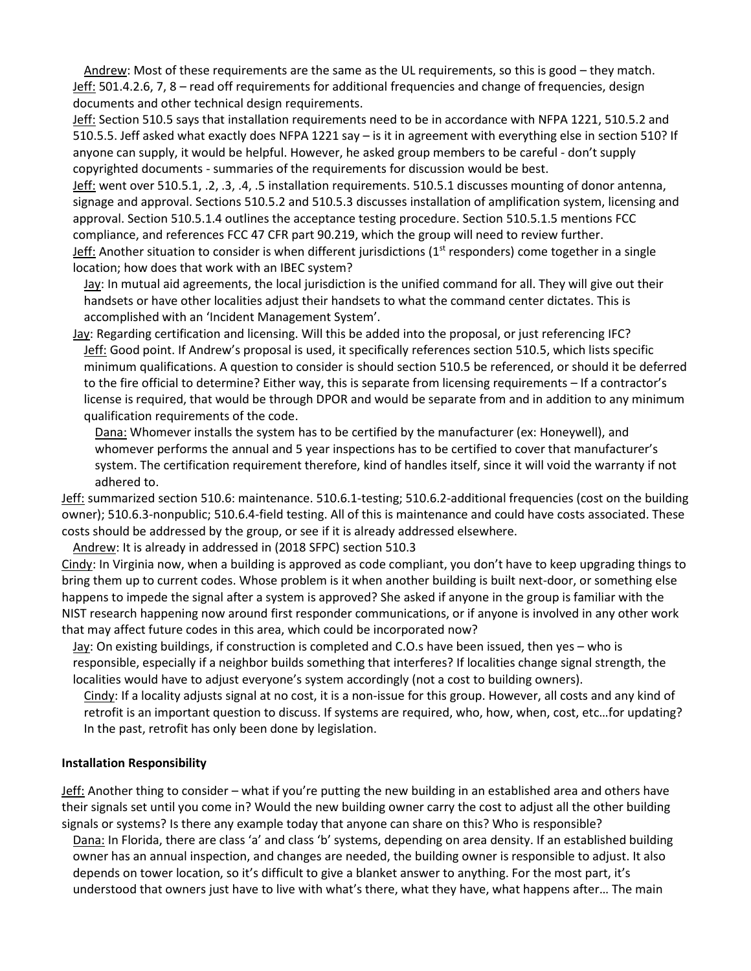Andrew: Most of these requirements are the same as the UL requirements, so this is good – they match. Jeff: 501.4.2.6, 7, 8 – read off requirements for additional frequencies and change of frequencies, design documents and other technical design requirements.

Jeff: Section 510.5 says that installation requirements need to be in accordance with NFPA 1221, 510.5.2 and 510.5.5. Jeff asked what exactly does NFPA 1221 say – is it in agreement with everything else in section 510? If anyone can supply, it would be helpful. However, he asked group members to be careful - don't supply copyrighted documents - summaries of the requirements for discussion would be best.

Jeff: went over 510.5.1, .2, .3, .4, .5 installation requirements. 510.5.1 discusses mounting of donor antenna, signage and approval. Sections 510.5.2 and 510.5.3 discusses installation of amplification system, licensing and approval. Section 510.5.1.4 outlines the acceptance testing procedure. Section 510.5.1.5 mentions FCC compliance, and references FCC 47 CFR part 90.219, which the group will need to review further. Jeff: Another situation to consider is when different jurisdictions ( $1<sup>st</sup>$  responders) come together in a single location; how does that work with an IBEC system?

Jay: In mutual aid agreements, the local jurisdiction is the unified command for all. They will give out their handsets or have other localities adjust their handsets to what the command center dictates. This is accomplished with an 'Incident Management System'.

Jay: Regarding certification and licensing. Will this be added into the proposal, or just referencing IFC? Jeff: Good point. If Andrew's proposal is used, it specifically references section 510.5, which lists specific minimum qualifications. A question to consider is should section 510.5 be referenced, or should it be deferred to the fire official to determine? Either way, this is separate from licensing requirements – If a contractor's license is required, that would be through DPOR and would be separate from and in addition to any minimum qualification requirements of the code.

Dana: Whomever installs the system has to be certified by the manufacturer (ex: Honeywell), and whomever performs the annual and 5 year inspections has to be certified to cover that manufacturer's system. The certification requirement therefore, kind of handles itself, since it will void the warranty if not adhered to.

Jeff: summarized section 510.6: maintenance. 510.6.1-testing; 510.6.2-additional frequencies (cost on the building owner); 510.6.3-nonpublic; 510.6.4-field testing. All of this is maintenance and could have costs associated. These costs should be addressed by the group, or see if it is already addressed elsewhere.

Andrew: It is already in addressed in (2018 SFPC) section 510.3

Cindy: In Virginia now, when a building is approved as code compliant, you don't have to keep upgrading things to bring them up to current codes. Whose problem is it when another building is built next-door, or something else happens to impede the signal after a system is approved? She asked if anyone in the group is familiar with the NIST research happening now around first responder communications, or if anyone is involved in any other work that may affect future codes in this area, which could be incorporated now?

Jay: On existing buildings, if construction is completed and C.O.s have been issued, then yes - who is responsible, especially if a neighbor builds something that interferes? If localities change signal strength, the localities would have to adjust everyone's system accordingly (not a cost to building owners).

Cindy: If a locality adjusts signal at no cost, it is a non-issue for this group. However, all costs and any kind of retrofit is an important question to discuss. If systems are required, who, how, when, cost, etc…for updating? In the past, retrofit has only been done by legislation.

### **Installation Responsibility**

Jeff: Another thing to consider – what if you're putting the new building in an established area and others have their signals set until you come in? Would the new building owner carry the cost to adjust all the other building signals or systems? Is there any example today that anyone can share on this? Who is responsible?

Dana: In Florida, there are class 'a' and class 'b' systems, depending on area density. If an established building owner has an annual inspection, and changes are needed, the building owner is responsible to adjust. It also depends on tower location, so it's difficult to give a blanket answer to anything. For the most part, it's understood that owners just have to live with what's there, what they have, what happens after… The main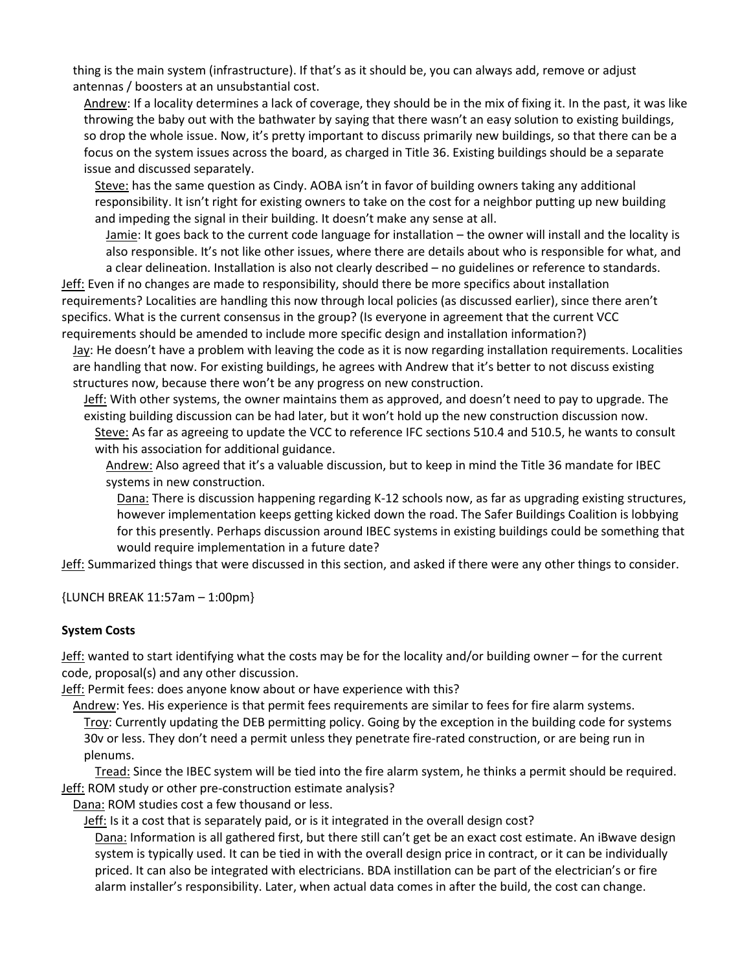thing is the main system (infrastructure). If that's as it should be, you can always add, remove or adjust antennas / boosters at an unsubstantial cost.

Andrew: If a locality determines a lack of coverage, they should be in the mix of fixing it. In the past, it was like throwing the baby out with the bathwater by saying that there wasn't an easy solution to existing buildings, so drop the whole issue. Now, it's pretty important to discuss primarily new buildings, so that there can be a focus on the system issues across the board, as charged in Title 36. Existing buildings should be a separate issue and discussed separately.

Steve: has the same question as Cindy. AOBA isn't in favor of building owners taking any additional responsibility. It isn't right for existing owners to take on the cost for a neighbor putting up new building and impeding the signal in their building. It doesn't make any sense at all.

Jamie: It goes back to the current code language for installation – the owner will install and the locality is also responsible. It's not like other issues, where there are details about who is responsible for what, and

a clear delineation. Installation is also not clearly described – no guidelines or reference to standards. Jeff: Even if no changes are made to responsibility, should there be more specifics about installation requirements? Localities are handling this now through local policies (as discussed earlier), since there aren't specifics. What is the current consensus in the group? (Is everyone in agreement that the current VCC requirements should be amended to include more specific design and installation information?)

Jay: He doesn't have a problem with leaving the code as it is now regarding installation requirements. Localities are handling that now. For existing buildings, he agrees with Andrew that it's better to not discuss existing structures now, because there won't be any progress on new construction.

Jeff: With other systems, the owner maintains them as approved, and doesn't need to pay to upgrade. The existing building discussion can be had later, but it won't hold up the new construction discussion now. Steve: As far as agreeing to update the VCC to reference IFC sections 510.4 and 510.5, he wants to consult with his association for additional guidance.

Andrew: Also agreed that it's a valuable discussion, but to keep in mind the Title 36 mandate for IBEC systems in new construction.

Dana: There is discussion happening regarding K-12 schools now, as far as upgrading existing structures, however implementation keeps getting kicked down the road. The Safer Buildings Coalition is lobbying for this presently. Perhaps discussion around IBEC systems in existing buildings could be something that would require implementation in a future date?

Jeff: Summarized things that were discussed in this section, and asked if there were any other things to consider.

{LUNCH BREAK 11:57am – 1:00pm}

### **System Costs**

Jeff: wanted to start identifying what the costs may be for the locality and/or building owner – for the current code, proposal(s) and any other discussion.

Jeff: Permit fees: does anyone know about or have experience with this?

Andrew: Yes. His experience is that permit fees requirements are similar to fees for fire alarm systems. Troy: Currently updating the DEB permitting policy. Going by the exception in the building code for systems 30v or less. They don't need a permit unless they penetrate fire-rated construction, or are being run in plenums.

Tread: Since the IBEC system will be tied into the fire alarm system, he thinks a permit should be required. Jeff: ROM study or other pre-construction estimate analysis?

Dana: ROM studies cost a few thousand or less.

Jeff: Is it a cost that is separately paid, or is it integrated in the overall design cost?

Dana: Information is all gathered first, but there still can't get be an exact cost estimate. An iBwave design system is typically used. It can be tied in with the overall design price in contract, or it can be individually priced. It can also be integrated with electricians. BDA instillation can be part of the electrician's or fire alarm installer's responsibility. Later, when actual data comes in after the build, the cost can change.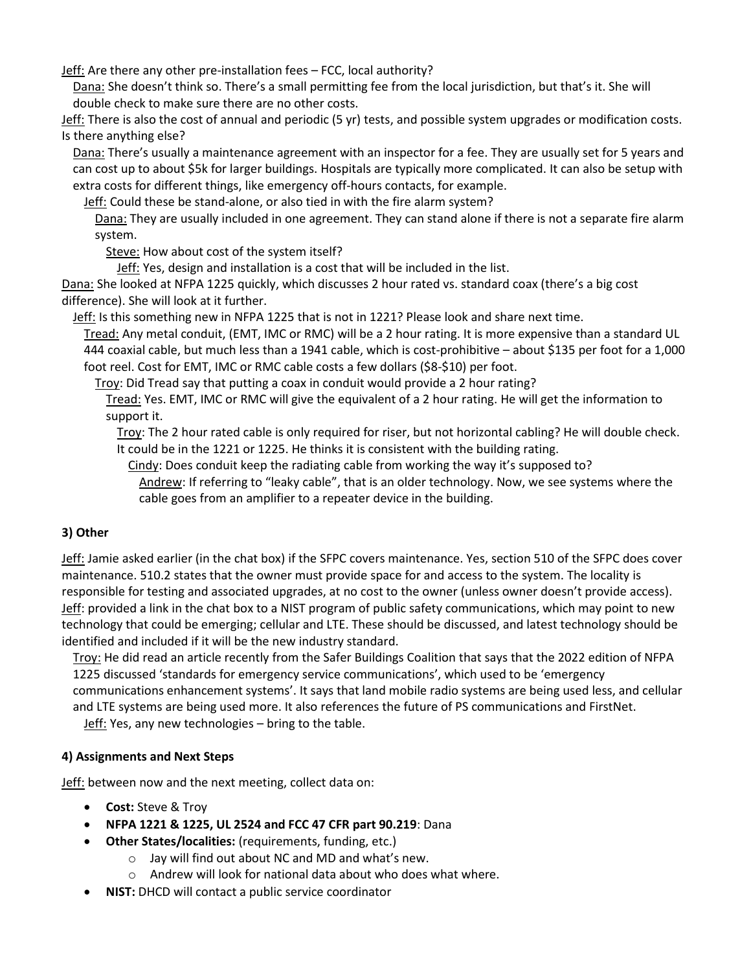Jeff: Are there any other pre-installation fees – FCC, local authority?

Dana: She doesn't think so. There's a small permitting fee from the local jurisdiction, but that's it. She will double check to make sure there are no other costs.

Jeff: There is also the cost of annual and periodic (5 yr) tests, and possible system upgrades or modification costs. Is there anything else?

Dana: There's usually a maintenance agreement with an inspector for a fee. They are usually set for 5 years and can cost up to about \$5k for larger buildings. Hospitals are typically more complicated. It can also be setup with extra costs for different things, like emergency off-hours contacts, for example.

Jeff: Could these be stand-alone, or also tied in with the fire alarm system?

Dana: They are usually included in one agreement. They can stand alone if there is not a separate fire alarm system.

Steve: How about cost of the system itself?

Jeff: Yes, design and installation is a cost that will be included in the list.

Dana: She looked at NFPA 1225 quickly, which discusses 2 hour rated vs. standard coax (there's a big cost difference). She will look at it further.

Jeff: Is this something new in NFPA 1225 that is not in 1221? Please look and share next time.

Tread: Any metal conduit, (EMT, IMC or RMC) will be a 2 hour rating. It is more expensive than a standard UL 444 coaxial cable, but much less than a 1941 cable, which is cost-prohibitive – about \$135 per foot for a 1,000 foot reel. Cost for EMT, IMC or RMC cable costs a few dollars (\$8-\$10) per foot.

Troy: Did Tread say that putting a coax in conduit would provide a 2 hour rating?

Tread: Yes. EMT, IMC or RMC will give the equivalent of a 2 hour rating. He will get the information to support it.

Troy: The 2 hour rated cable is only required for riser, but not horizontal cabling? He will double check. It could be in the 1221 or 1225. He thinks it is consistent with the building rating.

Cindy: Does conduit keep the radiating cable from working the way it's supposed to? Andrew: If referring to "leaky cable", that is an older technology. Now, we see systems where the cable goes from an amplifier to a repeater device in the building.

# **3) Other**

Jeff: Jamie asked earlier (in the chat box) if the SFPC covers maintenance. Yes, section 510 of the SFPC does cover maintenance. 510.2 states that the owner must provide space for and access to the system. The locality is responsible for testing and associated upgrades, at no cost to the owner (unless owner doesn't provide access). Jeff: provided a link in the chat box to a NIST program of public safety communications, which may point to new technology that could be emerging; cellular and LTE. These should be discussed, and latest technology should be identified and included if it will be the new industry standard.

Troy: He did read an article recently from the Safer Buildings Coalition that says that the 2022 edition of NFPA 1225 discussed 'standards for emergency service communications', which used to be 'emergency communications enhancement systems'. It says that land mobile radio systems are being used less, and cellular and LTE systems are being used more. It also references the future of PS communications and FirstNet.

Jeff: Yes, any new technologies - bring to the table.

# **4) Assignments and Next Steps**

**Jeff:** between now and the next meeting, collect data on:

- **Cost:** Steve & Troy
- **NFPA 1221 & 1225, UL 2524 and FCC 47 CFR part 90.219**: Dana
- **Other States/localities:** (requirements, funding, etc.)
	- o Jay will find out about NC and MD and what's new.
	- o Andrew will look for national data about who does what where.
- **NIST:** DHCD will contact a public service coordinator